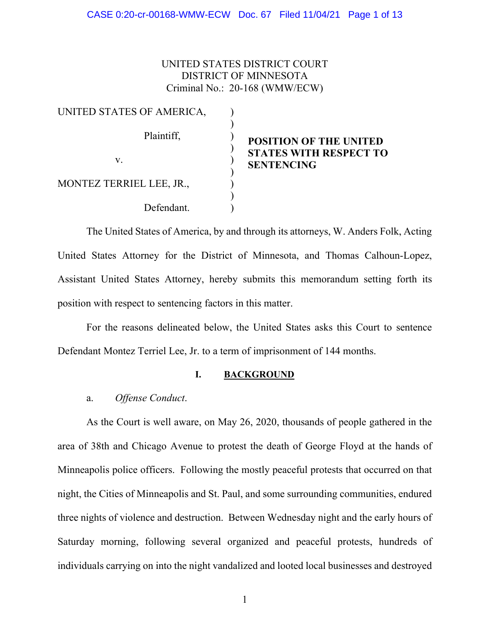## UNITED STATES DISTRICT COURT DISTRICT OF MINNESOTA Criminal No.: 20-168 (WMW/ECW)

| UNITED STATES OF AMERICA, |  |
|---------------------------|--|
| Plaintiff,                |  |
| $V_{-}$                   |  |
| MONTEZ TERRIEL LEE, JR.,  |  |
| Defendant.                |  |

# **POSITION OF THE UNITED STATES WITH RESPECT TO SENTENCING**

The United States of America, by and through its attorneys, W. Anders Folk, Acting United States Attorney for the District of Minnesota, and Thomas Calhoun-Lopez, Assistant United States Attorney, hereby submits this memorandum setting forth its position with respect to sentencing factors in this matter.

For the reasons delineated below, the United States asks this Court to sentence Defendant Montez Terriel Lee, Jr. to a term of imprisonment of 144 months.

## **I. BACKGROUND**

## a. *Offense Conduct*.

As the Court is well aware, on May 26, 2020, thousands of people gathered in the area of 38th and Chicago Avenue to protest the death of George Floyd at the hands of Minneapolis police officers. Following the mostly peaceful protests that occurred on that night, the Cities of Minneapolis and St. Paul, and some surrounding communities, endured three nights of violence and destruction. Between Wednesday night and the early hours of Saturday morning, following several organized and peaceful protests, hundreds of individuals carrying on into the night vandalized and looted local businesses and destroyed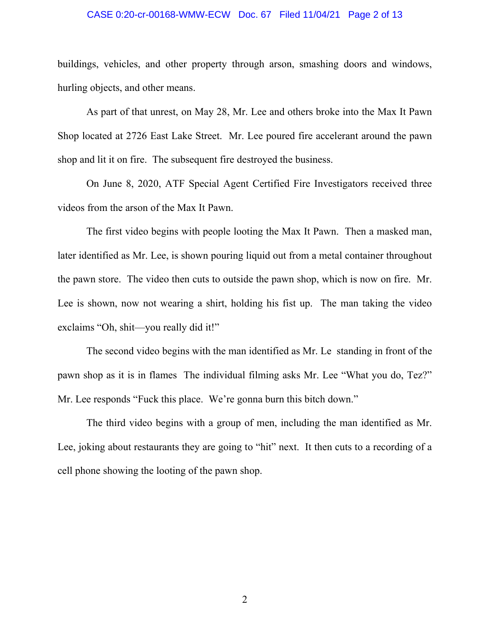#### CASE 0:20-cr-00168-WMW-ECW Doc. 67 Filed 11/04/21 Page 2 of 13

buildings, vehicles, and other property through arson, smashing doors and windows, hurling objects, and other means.

As part of that unrest, on May 28, Mr. Lee and others broke into the Max It Pawn Shop located at 2726 East Lake Street. Mr. Lee poured fire accelerant around the pawn shop and lit it on fire. The subsequent fire destroyed the business.

On June 8, 2020, ATF Special Agent Certified Fire Investigators received three videos from the arson of the Max It Pawn.

The first video begins with people looting the Max It Pawn. Then a masked man, later identified as Mr. Lee, is shown pouring liquid out from a metal container throughout the pawn store. The video then cuts to outside the pawn shop, which is now on fire. Mr. Lee is shown, now not wearing a shirt, holding his fist up. The man taking the video exclaims "Oh, shit—you really did it!"

The second video begins with the man identified as Mr. Le standing in front of the pawn shop as it is in flames The individual filming asks Mr. Lee "What you do, Tez?" Mr. Lee responds "Fuck this place. We're gonna burn this bitch down."

The third video begins with a group of men, including the man identified as Mr. Lee, joking about restaurants they are going to "hit" next. It then cuts to a recording of a cell phone showing the looting of the pawn shop.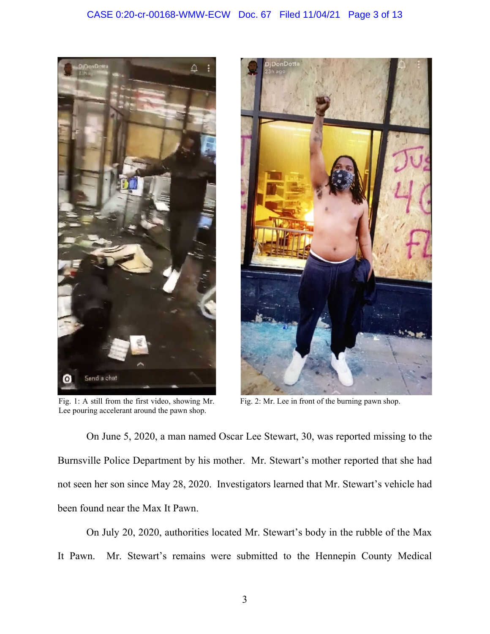

Fig. 1: A still from the first video, showing Mr. Lee pouring accelerant around the pawn shop.



Fig. 2: Mr. Lee in front of the burning pawn shop.

On June 5, 2020, a man named Oscar Lee Stewart, 30, was reported missing to the Burnsville Police Department by his mother. Mr. Stewart's mother reported that she had not seen her son since May 28, 2020. Investigators learned that Mr. Stewart's vehicle had been found near the Max It Pawn.

On July 20, 2020, authorities located Mr. Stewart's body in the rubble of the Max It Pawn. Mr. Stewart's remains were submitted to the Hennepin County Medical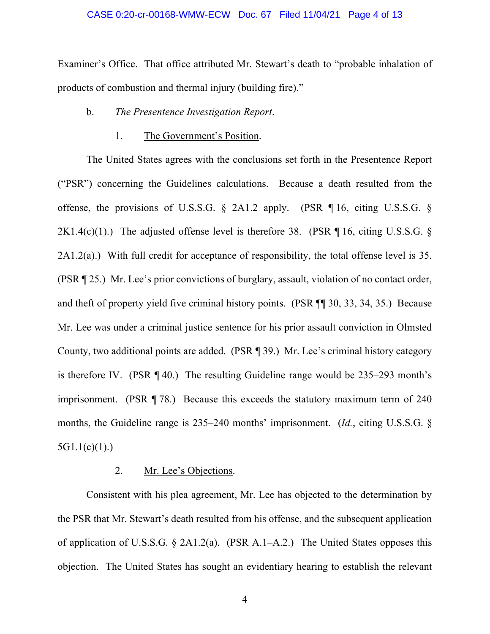#### CASE 0:20-cr-00168-WMW-ECW Doc. 67 Filed 11/04/21 Page 4 of 13

Examiner's Office. That office attributed Mr. Stewart's death to "probable inhalation of products of combustion and thermal injury (building fire)."

## b. *The Presentence Investigation Report*.

## 1. The Government's Position.

The United States agrees with the conclusions set forth in the Presentence Report ("PSR") concerning the Guidelines calculations. Because a death resulted from the offense, the provisions of U.S.S.G. § 2A1.2 apply. (PSR ¶ 16, citing U.S.S.G. § 2K1.4(c)(1).) The adjusted offense level is therefore 38. (PSR  $\P$  16, citing U.S.S.G. § 2A1.2(a).) With full credit for acceptance of responsibility, the total offense level is 35. (PSR ¶ 25.) Mr. Lee's prior convictions of burglary, assault, violation of no contact order, and theft of property yield five criminal history points. (PSR ¶¶ 30, 33, 34, 35.) Because Mr. Lee was under a criminal justice sentence for his prior assault conviction in Olmsted County, two additional points are added. (PSR ¶ 39.) Mr. Lee's criminal history category is therefore IV. (PSR ¶ 40.) The resulting Guideline range would be 235–293 month's imprisonment. (PSR ¶ 78.) Because this exceeds the statutory maximum term of 240 months, the Guideline range is 235–240 months' imprisonment. (*Id.*, citing U.S.S.G. §  $5G1.1(c)(1)$ .)

## 2. Mr. Lee's Objections.

Consistent with his plea agreement, Mr. Lee has objected to the determination by the PSR that Mr. Stewart's death resulted from his offense, and the subsequent application of application of U.S.S.G. § 2A1.2(a). (PSR A.1–A.2.) The United States opposes this objection. The United States has sought an evidentiary hearing to establish the relevant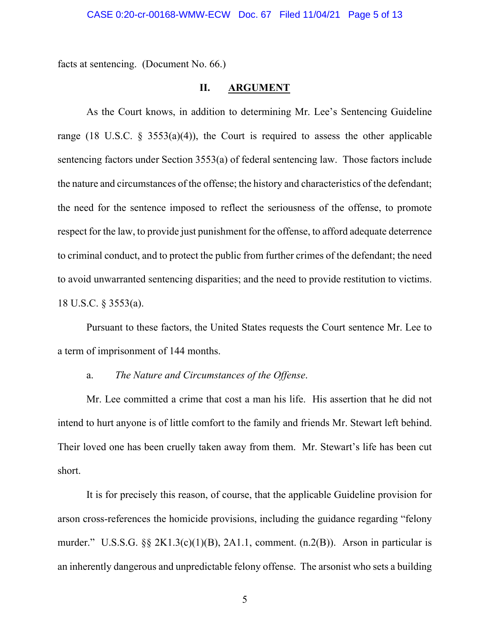#### CASE 0:20-cr-00168-WMW-ECW Doc. 67 Filed 11/04/21 Page 5 of 13

facts at sentencing. (Document No. 66.)

### **II. ARGUMENT**

As the Court knows, in addition to determining Mr. Lee's Sentencing Guideline range (18 U.S.C. § 3553(a)(4)), the Court is required to assess the other applicable sentencing factors under Section 3553(a) of federal sentencing law. Those factors include the nature and circumstances of the offense; the history and characteristics of the defendant; the need for the sentence imposed to reflect the seriousness of the offense, to promote respect for the law, to provide just punishment for the offense, to afford adequate deterrence to criminal conduct, and to protect the public from further crimes of the defendant; the need to avoid unwarranted sentencing disparities; and the need to provide restitution to victims. 18 U.S.C. § 3553(a).

Pursuant to these factors, the United States requests the Court sentence Mr. Lee to a term of imprisonment of 144 months.

## a. *The Nature and Circumstances of the Offense*.

Mr. Lee committed a crime that cost a man his life. His assertion that he did not intend to hurt anyone is of little comfort to the family and friends Mr. Stewart left behind. Their loved one has been cruelly taken away from them. Mr. Stewart's life has been cut short.

It is for precisely this reason, of course, that the applicable Guideline provision for arson cross-references the homicide provisions, including the guidance regarding "felony murder." U.S.S.G.  $\S\S 2K1.3(c)(1)(B)$ , 2A1.1, comment. (n.2(B)). Arson in particular is an inherently dangerous and unpredictable felony offense. The arsonist who sets a building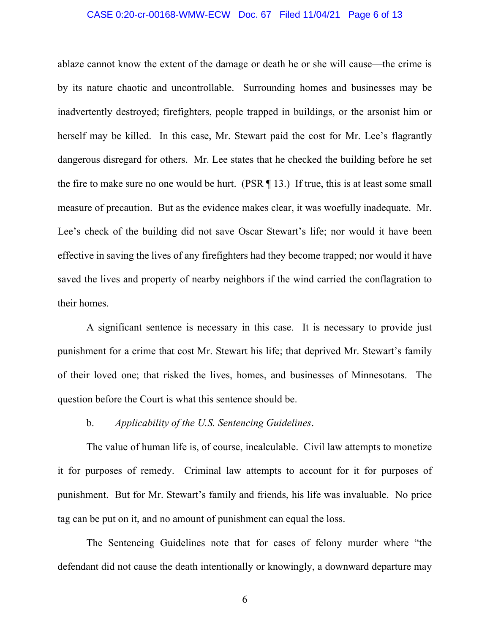#### CASE 0:20-cr-00168-WMW-ECW Doc. 67 Filed 11/04/21 Page 6 of 13

ablaze cannot know the extent of the damage or death he or she will cause—the crime is by its nature chaotic and uncontrollable. Surrounding homes and businesses may be inadvertently destroyed; firefighters, people trapped in buildings, or the arsonist him or herself may be killed. In this case, Mr. Stewart paid the cost for Mr. Lee's flagrantly dangerous disregard for others. Mr. Lee states that he checked the building before he set the fire to make sure no one would be hurt. (PSR  $\P$  13.) If true, this is at least some small measure of precaution. But as the evidence makes clear, it was woefully inadequate. Mr. Lee's check of the building did not save Oscar Stewart's life; nor would it have been effective in saving the lives of any firefighters had they become trapped; nor would it have saved the lives and property of nearby neighbors if the wind carried the conflagration to their homes.

A significant sentence is necessary in this case. It is necessary to provide just punishment for a crime that cost Mr. Stewart his life; that deprived Mr. Stewart's family of their loved one; that risked the lives, homes, and businesses of Minnesotans. The question before the Court is what this sentence should be.

## b. *Applicability of the U.S. Sentencing Guidelines*.

The value of human life is, of course, incalculable. Civil law attempts to monetize it for purposes of remedy. Criminal law attempts to account for it for purposes of punishment. But for Mr. Stewart's family and friends, his life was invaluable. No price tag can be put on it, and no amount of punishment can equal the loss.

The Sentencing Guidelines note that for cases of felony murder where "the defendant did not cause the death intentionally or knowingly, a downward departure may

6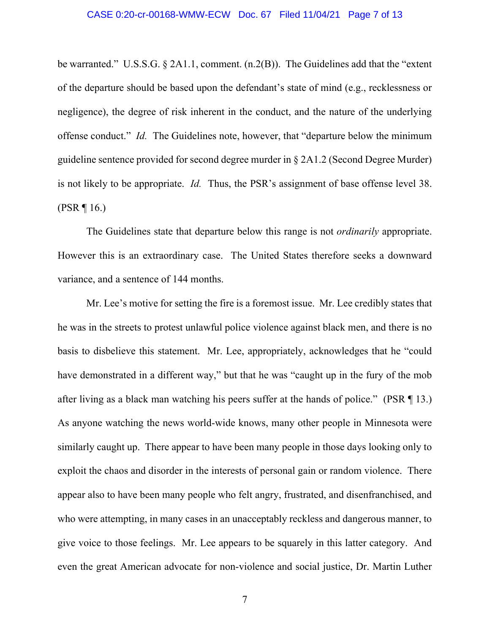#### CASE 0:20-cr-00168-WMW-ECW Doc. 67 Filed 11/04/21 Page 7 of 13

be warranted." U.S.S.G. § 2A1.1, comment. (n.2(B)). The Guidelines add that the "extent" of the departure should be based upon the defendant's state of mind (e.g., recklessness or negligence), the degree of risk inherent in the conduct, and the nature of the underlying offense conduct." *Id.* The Guidelines note, however, that "departure below the minimum guideline sentence provided for second degree murder in § 2A1.2 (Second Degree Murder) is not likely to be appropriate. *Id.* Thus, the PSR's assignment of base offense level 38.  $(PSR \, \P \, 16.)$ 

The Guidelines state that departure below this range is not *ordinarily* appropriate. However this is an extraordinary case. The United States therefore seeks a downward variance, and a sentence of 144 months.

Mr. Lee's motive for setting the fire is a foremost issue. Mr. Lee credibly states that he was in the streets to protest unlawful police violence against black men, and there is no basis to disbelieve this statement. Mr. Lee, appropriately, acknowledges that he "could have demonstrated in a different way," but that he was "caught up in the fury of the mob after living as a black man watching his peers suffer at the hands of police." (PSR ¶ 13.) As anyone watching the news world-wide knows, many other people in Minnesota were similarly caught up. There appear to have been many people in those days looking only to exploit the chaos and disorder in the interests of personal gain or random violence. There appear also to have been many people who felt angry, frustrated, and disenfranchised, and who were attempting, in many cases in an unacceptably reckless and dangerous manner, to give voice to those feelings. Mr. Lee appears to be squarely in this latter category. And even the great American advocate for non-violence and social justice, Dr. Martin Luther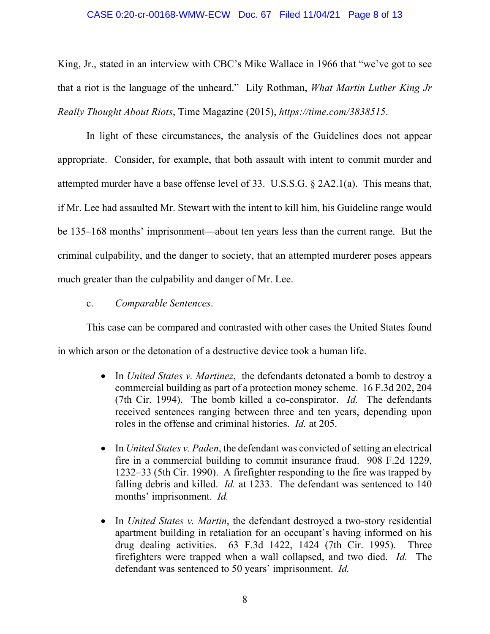#### CASE 0:20-cr-00168-WMW-ECW Doc. 67 Filed 11/04/21 Page 8 of 13

King, Jr., stated in an interview with CBC's Mike Wallace in 1966 that "we've got to see that a riot is the language of the unheard." Lily Rothman, *What Martin Luther King Jr Really Thought About Riots*, Time Magazine (2015), *[https://time.com/3838515](https://time.com/3838515/baltimore-riots-language-unheard-quote/)*.

In light of these circumstances, the analysis of the Guidelines does not appear appropriate. Consider, for example, that both assault with intent to commit murder and attempted murder have a base offense level of 33. U.S.S.G. § 2A2.1(a). This means that, if Mr. Lee had assaulted Mr. Stewart with the intent to kill him, his Guideline range would be 135–168 months' imprisonment—about ten years less than the current range. But the criminal culpability, and the danger to society, that an attempted murderer poses appears much greater than the culpability and danger of Mr. Lee.

c. *Comparable Sentences*.

This case can be compared and contrasted with other cases the United States found in which arson or the detonation of a destructive device took a human life.

- In *United States v. Martinez*, the defendants detonated a bomb to destroy a commercial building as part of a protection money scheme. 16 F.3d 202, 204 (7th Cir. 1994). The bomb killed a co-conspirator. *Id.* The defendants received sentences ranging between three and ten years, depending upon roles in the offense and criminal histories. *Id.* at 205.
- In *United States v. Paden*, the defendant was convicted of setting an electrical fire in a commercial building to commit insurance fraud. 908 F.2d 1229, 1232–33 (5th Cir. 1990). A firefighter responding to the fire was trapped by falling debris and killed. *Id.* at 1233. The defendant was sentenced to 140 months' imprisonment. *Id.*
- In *United States v. Martin*, the defendant destroyed a two-story residential apartment building in retaliation for an occupant's having informed on his drug dealing activities. 63 F.3d 1422, 1424 (7th Cir. 1995). Three firefighters were trapped when a wall collapsed, and two died. *Id.* The defendant was sentenced to 50 years' imprisonment. *Id.*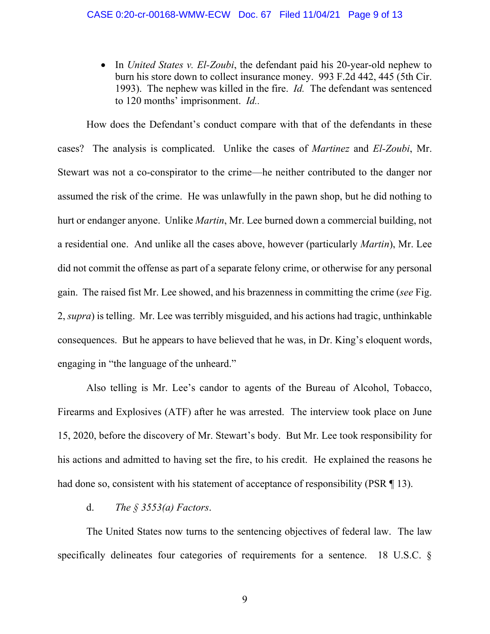• In *United States v. El-Zoubi*, the defendant paid his 20-year-old nephew to burn his store down to collect insurance money. 993 F.2d 442, 445 (5th Cir. 1993). The nephew was killed in the fire. *Id.* The defendant was sentenced to 120 months' imprisonment. *Id..*

How does the Defendant's conduct compare with that of the defendants in these cases? The analysis is complicated. Unlike the cases of *Martinez* and *El-Zoubi*, Mr. Stewart was not a co-conspirator to the crime—he neither contributed to the danger nor assumed the risk of the crime. He was unlawfully in the pawn shop, but he did nothing to hurt or endanger anyone. Unlike *Martin*, Mr. Lee burned down a commercial building, not a residential one. And unlike all the cases above, however (particularly *Martin*), Mr. Lee did not commit the offense as part of a separate felony crime, or otherwise for any personal gain. The raised fist Mr. Lee showed, and his brazenness in committing the crime (*see* Fig. 2, *supra*) is telling. Mr. Lee was terribly misguided, and his actions had tragic, unthinkable consequences. But he appears to have believed that he was, in Dr. King's eloquent words, engaging in "the language of the unheard."

Also telling is Mr. Lee's candor to agents of the Bureau of Alcohol, Tobacco, Firearms and Explosives (ATF) after he was arrested. The interview took place on June 15, 2020, before the discovery of Mr. Stewart's body. But Mr. Lee took responsibility for his actions and admitted to having set the fire, to his credit. He explained the reasons he had done so, consistent with his statement of acceptance of responsibility (PSR \mum 13).

d. *The § 3553(a) Factors*.

The United States now turns to the sentencing objectives of federal law. The law specifically delineates four categories of requirements for a sentence. 18 U.S.C. §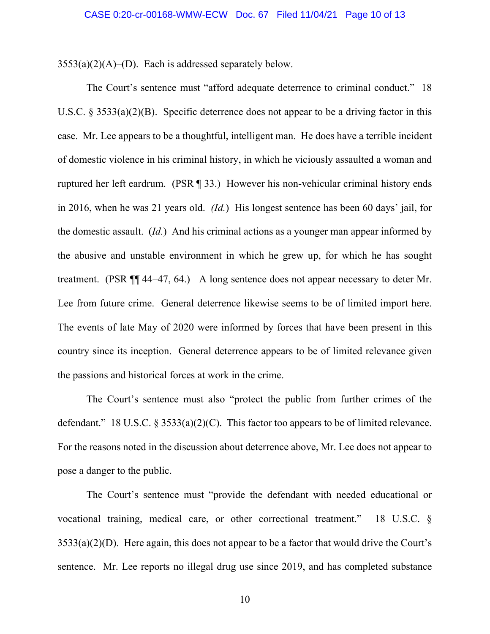$3553(a)(2)(A)$ –(D). Each is addressed separately below.

The Court's sentence must "afford adequate deterrence to criminal conduct." 18 U.S.C.  $\S 3533(a)(2)(B)$ . Specific deterrence does not appear to be a driving factor in this case. Mr. Lee appears to be a thoughtful, intelligent man. He does have a terrible incident of domestic violence in his criminal history, in which he viciously assaulted a woman and ruptured her left eardrum. (PSR ¶ 33.) However his non-vehicular criminal history ends in 2016, when he was 21 years old. *(Id.*) His longest sentence has been 60 days' jail, for the domestic assault. (*Id.*) And his criminal actions as a younger man appear informed by the abusive and unstable environment in which he grew up, for which he has sought treatment. (PSR ¶¶ 44–47, 64.) A long sentence does not appear necessary to deter Mr. Lee from future crime. General deterrence likewise seems to be of limited import here. The events of late May of 2020 were informed by forces that have been present in this country since its inception. General deterrence appears to be of limited relevance given the passions and historical forces at work in the crime.

The Court's sentence must also "protect the public from further crimes of the defendant." 18 U.S.C.  $\S 3533(a)(2)(C)$ . This factor too appears to be of limited relevance. For the reasons noted in the discussion about deterrence above, Mr. Lee does not appear to pose a danger to the public.

The Court's sentence must "provide the defendant with needed educational or vocational training, medical care, or other correctional treatment." 18 U.S.C. §  $3533(a)(2)(D)$ . Here again, this does not appear to be a factor that would drive the Court's sentence. Mr. Lee reports no illegal drug use since 2019, and has completed substance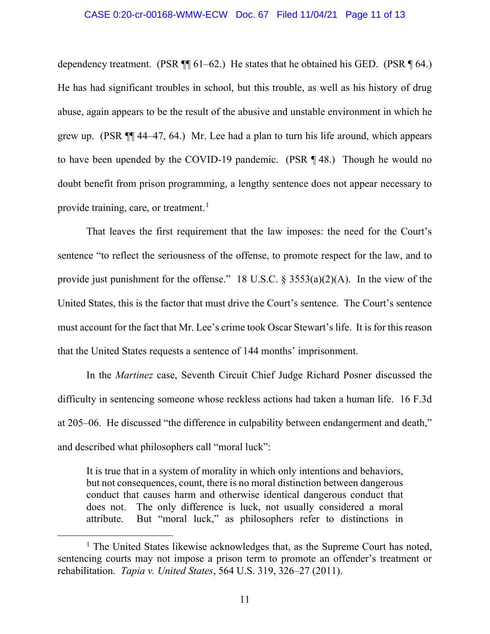#### CASE 0:20-cr-00168-WMW-ECW Doc. 67 Filed 11/04/21 Page 11 of 13

dependency treatment. (PSR  $\P$  61–62.) He states that he obtained his GED. (PSR  $\P$  64.) He has had significant troubles in school, but this trouble, as well as his history of drug abuse, again appears to be the result of the abusive and unstable environment in which he grew up. (PSR ¶¶ 44–47, 64.) Mr. Lee had a plan to turn his life around, which appears to have been upended by the COVID-19 pandemic. (PSR ¶ 48.) Though he would no doubt benefit from prison programming, a lengthy sentence does not appear necessary to provide training, care, or treatment.<sup>[1](#page-10-0)</sup>

That leaves the first requirement that the law imposes: the need for the Court's sentence "to reflect the seriousness of the offense, to promote respect for the law, and to provide just punishment for the offense." 18 U.S.C.  $\S$  3553(a)(2)(A). In the view of the United States, this is the factor that must drive the Court's sentence. The Court's sentence must account for the fact that Mr. Lee's crime took Oscar Stewart's life. It is for this reason that the United States requests a sentence of 144 months' imprisonment.

In the *Martinez* case, Seventh Circuit Chief Judge Richard Posner discussed the difficulty in sentencing someone whose reckless actions had taken a human life. 16 F.3d at 205–06. He discussed "the difference in culpability between endangerment and death," and described what philosophers call "moral luck":

It is true that in a system of morality in which only intentions and behaviors, but not consequences, count, there is no moral distinction between dangerous conduct that causes harm and otherwise identical dangerous conduct that does not. The only difference is luck, not usually considered a moral attribute. But "moral luck," as philosophers refer to distinctions in

<span id="page-10-0"></span> $<sup>1</sup>$  The United States likewise acknowledges that, as the Supreme Court has noted,</sup> sentencing courts may not impose a prison term to promote an offender's treatment or rehabilitation. *Tapia v. United States*, 564 U.S. 319, 326–27 (2011).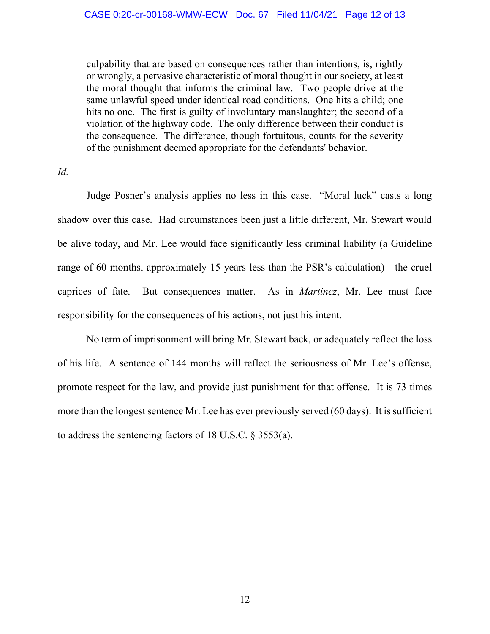culpability that are based on consequences rather than intentions, is, rightly or wrongly, a pervasive characteristic of moral thought in our society, at least the moral thought that informs the criminal law. Two people drive at the same unlawful speed under identical road conditions. One hits a child; one hits no one. The first is guilty of involuntary manslaughter; the second of a violation of the highway code. The only difference between their conduct is the consequence. The difference, though fortuitous, counts for the severity of the punishment deemed appropriate for the defendants' behavior.

*Id.*

Judge Posner's analysis applies no less in this case. "Moral luck" casts a long shadow over this case. Had circumstances been just a little different, Mr. Stewart would be alive today, and Mr. Lee would face significantly less criminal liability (a Guideline range of 60 months, approximately 15 years less than the PSR's calculation)—the cruel caprices of fate. But consequences matter. As in *Martinez*, Mr. Lee must face responsibility for the consequences of his actions, not just his intent.

No term of imprisonment will bring Mr. Stewart back, or adequately reflect the loss of his life. A sentence of 144 months will reflect the seriousness of Mr. Lee's offense, promote respect for the law, and provide just punishment for that offense. It is 73 times more than the longest sentence Mr. Lee has ever previously served (60 days). It is sufficient to address the sentencing factors of 18 U.S.C. § 3553(a).